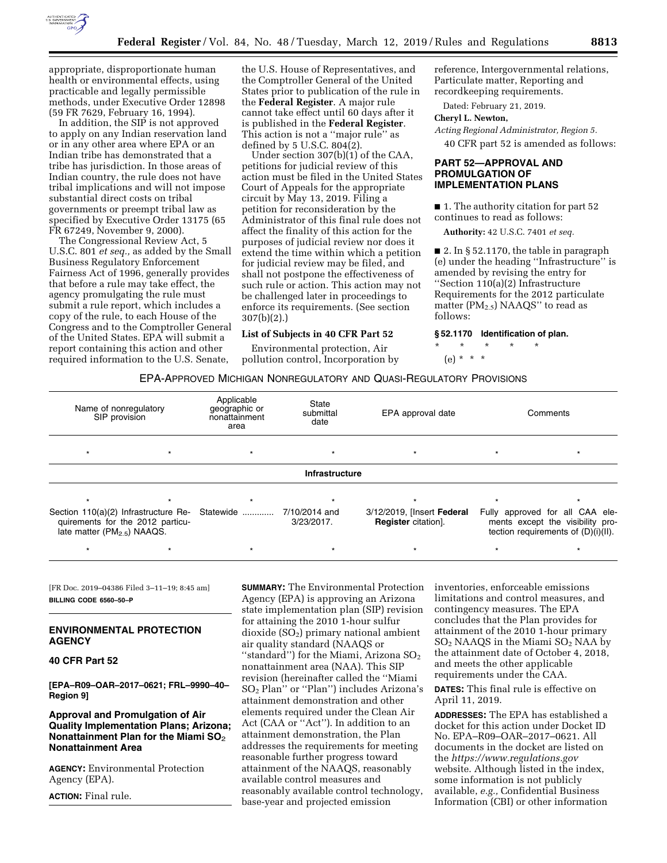

appropriate, disproportionate human health or environmental effects, using practicable and legally permissible methods, under Executive Order 12898 (59 FR 7629, February 16, 1994).

In addition, the SIP is not approved to apply on any Indian reservation land or in any other area where EPA or an Indian tribe has demonstrated that a tribe has jurisdiction. In those areas of Indian country, the rule does not have tribal implications and will not impose substantial direct costs on tribal governments or preempt tribal law as specified by Executive Order 13175 (65 FR 67249, November 9, 2000).

The Congressional Review Act, 5 U.S.C. 801 *et seq.,* as added by the Small Business Regulatory Enforcement Fairness Act of 1996, generally provides that before a rule may take effect, the agency promulgating the rule must submit a rule report, which includes a copy of the rule, to each House of the Congress and to the Comptroller General of the United States. EPA will submit a report containing this action and other required information to the U.S. Senate,

the U.S. House of Representatives, and the Comptroller General of the United States prior to publication of the rule in the **Federal Register**. A major rule cannot take effect until 60 days after it is published in the **Federal Register**. This action is not a ''major rule'' as defined by 5 U.S.C. 804(2).

Under section 307(b)(1) of the CAA, petitions for judicial review of this action must be filed in the United States Court of Appeals for the appropriate circuit by May 13, 2019. Filing a petition for reconsideration by the Administrator of this final rule does not affect the finality of this action for the purposes of judicial review nor does it extend the time within which a petition for judicial review may be filed, and shall not postpone the effectiveness of such rule or action. This action may not be challenged later in proceedings to enforce its requirements. (See section 307(b)(2).)

# **List of Subjects in 40 CFR Part 52**

Environmental protection, Air pollution control, Incorporation by

reference, Intergovernmental relations, Particulate matter, Reporting and recordkeeping requirements.

Dated: February 21, 2019.

#### **Cheryl L. Newton,**

*Acting Regional Administrator, Region 5.*  40 CFR part 52 is amended as follows:

## **PART 52—APPROVAL AND PROMULGATION OF IMPLEMENTATION PLANS**

■ 1. The authority citation for part 52 continues to read as follows:

**Authority:** 42 U.S.C. 7401 *et seq.* 

■ 2. In § 52.1170, the table in paragraph (e) under the heading ''Infrastructure'' is amended by revising the entry for ''Section 110(a)(2) Infrastructure Requirements for the 2012 particulate matter (PM<sub>2.5</sub>) NAAQS" to read as follows:

**§ 52.1170 Identification of plan.** 

\* \* \* \* \* (e) \* \* \*

### EPA-APPROVED MICHIGAN NONREGULATORY AND QUASI-REGULATORY PROVISIONS

| Name of nonregulatory<br>SIP provision                                                                              |  | Applicable<br>State<br>geographic or<br>submittal<br>nonattainment<br>date<br>area |                             | EPA approval date                                        | Comments |                                                                                                            |
|---------------------------------------------------------------------------------------------------------------------|--|------------------------------------------------------------------------------------|-----------------------------|----------------------------------------------------------|----------|------------------------------------------------------------------------------------------------------------|
| $\star$                                                                                                             |  |                                                                                    | $\star$                     |                                                          |          |                                                                                                            |
|                                                                                                                     |  |                                                                                    | <b>Infrastructure</b>       |                                                          |          |                                                                                                            |
|                                                                                                                     |  |                                                                                    |                             |                                                          |          |                                                                                                            |
| Section 110(a)(2) Infrastructure Re-<br>quirements for the 2012 particu-<br>late matter (PM <sub>2.5</sub> ) NAAQS. |  | Statewide                                                                          | 7/10/2014 and<br>3/23/2017. | 3/12/2019, [Insert Federal<br><b>Register</b> citation]. |          | Fully approved for all CAA ele-<br>ments except the visibility pro-<br>tection requirements of (D)(i)(II). |
|                                                                                                                     |  |                                                                                    |                             |                                                          |          | $\star$                                                                                                    |

[FR Doc. 2019–04386 Filed 3–11–19; 8:45 am] **BILLING CODE 6560–50–P** 

## **ENVIRONMENTAL PROTECTION AGENCY**

### **40 CFR Part 52**

**[EPA–R09–OAR–2017–0621; FRL–9990–40– Region 9]** 

# **Approval and Promulgation of Air Quality Implementation Plans; Arizona; Nonattainment Plan for the Miami SO**2 **Nonattainment Area**

**AGENCY:** Environmental Protection Agency (EPA).

**ACTION:** Final rule.

**SUMMARY:** The Environmental Protection Agency (EPA) is approving an Arizona state implementation plan (SIP) revision for attaining the 2010 1-hour sulfur  $div side (SO<sub>2</sub>) primary national ambient$ air quality standard (NAAQS or "standard") for the Miami, Arizona  $SO<sub>2</sub>$ nonattainment area (NAA). This SIP revision (hereinafter called the ''Miami SO2 Plan'' or ''Plan'') includes Arizona's attainment demonstration and other elements required under the Clean Air Act (CAA or ''Act''). In addition to an attainment demonstration, the Plan addresses the requirements for meeting reasonable further progress toward attainment of the NAAQS, reasonably available control measures and reasonably available control technology, base-year and projected emission

inventories, enforceable emissions limitations and control measures, and contingency measures. The EPA concludes that the Plan provides for attainment of the 2010 1-hour primary SO2 NAAQS in the Miami SO2 NAA by the attainment date of October 4, 2018, and meets the other applicable requirements under the CAA.

**DATES:** This final rule is effective on April 11, 2019.

**ADDRESSES:** The EPA has established a docket for this action under Docket ID No. EPA–R09–OAR–2017–0621. All documents in the docket are listed on the *<https://www.regulations.gov>* website. Although listed in the index, some information is not publicly available, *e.g.,* Confidential Business Information (CBI) or other information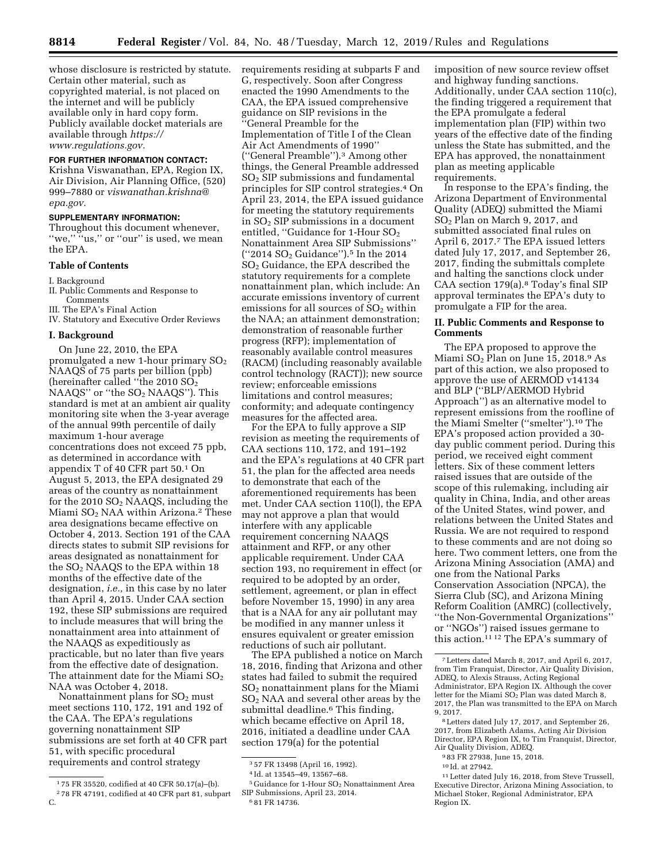whose disclosure is restricted by statute. Certain other material, such as copyrighted material, is not placed on the internet and will be publicly available only in hard copy form. Publicly available docket materials are available through *[https://](https://www.regulations.gov) [www.regulations.gov.](https://www.regulations.gov)* 

## **FOR FURTHER INFORMATION CONTACT:**

Krishna Viswanathan, EPA, Region IX, Air Division, Air Planning Office, (520) 999–7880 or *[viswanathan.krishna@](mailto:viswanathan.krishna@epa.gov) [epa.gov.](mailto:viswanathan.krishna@epa.gov)* 

### **SUPPLEMENTARY INFORMATION:**

Throughout this document whenever, "we," "us," or "our" is used, we mean the EPA.

### **Table of Contents**

I. Background

II. Public Comments and Response to Comments

- III. The EPA's Final Action
- IV. Statutory and Executive Order Reviews

#### **I. Background**

On June 22, 2010, the EPA promulgated a new 1-hour primary  $SO<sub>2</sub>$ NAAQS of 75 parts per billion (ppb) (hereinafter called ''the 2010 SO2 NAAQS" or "the SO<sub>2</sub> NAAQS"). This standard is met at an ambient air quality monitoring site when the 3-year average of the annual 99th percentile of daily maximum 1-hour average concentrations does not exceed 75 ppb, as determined in accordance with appendix T of 40 CFR part 50.1 On August 5, 2013, the EPA designated 29 areas of the country as nonattainment for the 2010  $SO<sub>2</sub>$  NAAQS, including the Miami  $SO<sub>2</sub>$  NAA within Arizona.<sup>2</sup> These area designations became effective on October 4, 2013. Section 191 of the CAA directs states to submit SIP revisions for areas designated as nonattainment for the  $SO<sub>2</sub>$  NAAQS to the EPA within 18 months of the effective date of the designation, *i.e.,* in this case by no later than April 4, 2015. Under CAA section 192, these SIP submissions are required to include measures that will bring the nonattainment area into attainment of the NAAQS as expeditiously as practicable, but no later than five years from the effective date of designation. The attainment date for the Miami  $SO<sub>2</sub>$ NAA was October 4, 2018.

Nonattainment plans for  $SO<sub>2</sub>$  must meet sections 110, 172, 191 and 192 of the CAA. The EPA's regulations governing nonattainment SIP submissions are set forth at 40 CFR part 51, with specific procedural requirements and control strategy

requirements residing at subparts F and G, respectively. Soon after Congress enacted the 1990 Amendments to the CAA, the EPA issued comprehensive guidance on SIP revisions in the ''General Preamble for the Implementation of Title I of the Clean Air Act Amendments of 1990'' (''General Preamble'').3 Among other things, the General Preamble addressed SO2 SIP submissions and fundamental principles for SIP control strategies.4 On April 23, 2014, the EPA issued guidance for meeting the statutory requirements in SO2 SIP submissions in a document entitled, "Guidance for 1-Hour  $SO<sub>2</sub>$ Nonattainment Area SIP Submissions'' (''2014 SO<sup>2</sup> Guidance'').5 In the 2014 SO2 Guidance, the EPA described the statutory requirements for a complete nonattainment plan, which include: An accurate emissions inventory of current emissions for all sources of  $SO<sub>2</sub>$  within the NAA; an attainment demonstration; demonstration of reasonable further progress (RFP); implementation of reasonably available control measures (RACM) (including reasonably available control technology (RACT)); new source review; enforceable emissions limitations and control measures; conformity; and adequate contingency measures for the affected area.

For the EPA to fully approve a SIP revision as meeting the requirements of CAA sections 110, 172, and 191–192 and the EPA's regulations at 40 CFR part 51, the plan for the affected area needs to demonstrate that each of the aforementioned requirements has been met. Under CAA section 110(l), the EPA may not approve a plan that would interfere with any applicable requirement concerning NAAQS attainment and RFP, or any other applicable requirement. Under CAA section 193, no requirement in effect (or required to be adopted by an order, settlement, agreement, or plan in effect before November 15, 1990) in any area that is a NAA for any air pollutant may be modified in any manner unless it ensures equivalent or greater emission reductions of such air pollutant.

The EPA published a notice on March 18, 2016, finding that Arizona and other states had failed to submit the required SO2 nonattainment plans for the Miami SO2 NAA and several other areas by the submittal deadline.6 This finding, which became effective on April 18, 2016, initiated a deadline under CAA section 179(a) for the potential

imposition of new source review offset and highway funding sanctions. Additionally, under CAA section 110(c), the finding triggered a requirement that the EPA promulgate a federal implementation plan (FIP) within two years of the effective date of the finding unless the State has submitted, and the EPA has approved, the nonattainment plan as meeting applicable

requirements. In response to the EPA's finding, the Arizona Department of Environmental Quality (ADEQ) submitted the Miami SO2 Plan on March 9, 2017, and submitted associated final rules on April 6, 2017.7 The EPA issued letters dated July 17, 2017, and September 26, 2017, finding the submittals complete and halting the sanctions clock under CAA section 179(a).8 Today's final SIP approval terminates the EPA's duty to promulgate a FIP for the area.

## **II. Public Comments and Response to Comments**

The EPA proposed to approve the Miami SO<sup>2</sup> Plan on June 15, 2018.9 As part of this action, we also proposed to approve the use of AERMOD v14134 and BLP (''BLP/AERMOD Hybrid Approach'') as an alternative model to represent emissions from the roofline of the Miami Smelter (''smelter'').10 The EPA's proposed action provided a 30 day public comment period. During this period, we received eight comment letters. Six of these comment letters raised issues that are outside of the scope of this rulemaking, including air quality in China, India, and other areas of the United States, wind power, and relations between the United States and Russia. We are not required to respond to these comments and are not doing so here. Two comment letters, one from the Arizona Mining Association (AMA) and one from the National Parks Conservation Association (NPCA), the Sierra Club (SC), and Arizona Mining Reform Coalition (AMRC) (collectively, ''the Non-Governmental Organizations'' or ''NGOs'') raised issues germane to this action.11 12 The EPA's summary of

8Letters dated July 17, 2017, and September 26, 2017, from Elizabeth Adams, Acting Air Division Director, EPA Region IX, to Tim Franquist, Director, Air Quality Division, ADEQ.

10 Id. at 27942.

<sup>1</sup> 75 FR 35520, codified at 40 CFR 50.17(a)–(b). 2 78 FR 47191, codified at 40 CFR part 81, subpart C.

<sup>3</sup> 57 FR 13498 (April 16, 1992).

<sup>4</sup> Id. at 13545–49, 13567–68.

<sup>&</sup>lt;sup>5</sup> Guidance for 1-Hour SO<sub>2</sub> Nonattainment Area SIP Submissions, April 23, 2014. 6 81 FR 14736.

<sup>7</sup>Letters dated March 8, 2017, and April 6, 2017, from Tim Franquist, Director, Air Quality Division, ADEQ, to Alexis Strauss, Acting Regional Administrator, EPA Region IX. Although the cover letter for the Miami  $SO<sub>2</sub>$  Plan was dated March 8, 2017, the Plan was transmitted to the EPA on March 9, 2017.

<sup>9</sup> 83 FR 27938, June 15, 2018.

<sup>11</sup>Letter dated July 16, 2018, from Steve Trussell, Executive Director, Arizona Mining Association, to Michael Stoker, Regional Administrator, EPA Region IX.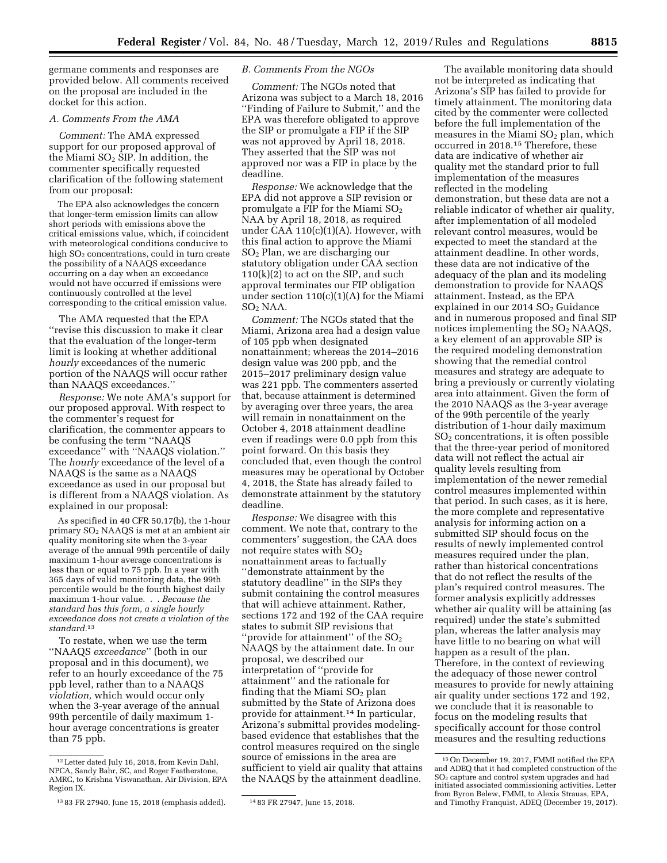germane comments and responses are provided below. All comments received on the proposal are included in the docket for this action.

# *A. Comments From the AMA*

*Comment:* The AMA expressed support for our proposed approval of the Miami  $SO<sub>2</sub>$  SIP. In addition, the commenter specifically requested clarification of the following statement from our proposal:

The EPA also acknowledges the concern that longer-term emission limits can allow short periods with emissions above the critical emissions value, which, if coincident with meteorological conditions conducive to high  $SO<sub>2</sub>$  concentrations, could in turn create the possibility of a NAAQS exceedance occurring on a day when an exceedance would not have occurred if emissions were continuously controlled at the level corresponding to the critical emission value.

The AMA requested that the EPA ''revise this discussion to make it clear that the evaluation of the longer-term limit is looking at whether additional *hourly* exceedances of the numeric portion of the NAAQS will occur rather than NAAQS exceedances.''

*Response:* We note AMA's support for our proposed approval. With respect to the commenter's request for clarification, the commenter appears to be confusing the term ''NAAQS exceedance'' with ''NAAQS violation.'' The *hourly* exceedance of the level of a NAAQS is the same as a NAAQS exceedance as used in our proposal but is different from a NAAQS violation. As explained in our proposal:

As specified in 40 CFR 50.17(b), the 1-hour primary SO2 NAAQS is met at an ambient air quality monitoring site when the 3-year average of the annual 99th percentile of daily maximum 1-hour average concentrations is less than or equal to 75 ppb. In a year with 365 days of valid monitoring data, the 99th percentile would be the fourth highest daily maximum 1-hour value. . . *Because the standard has this form, a single hourly exceedance does not create a violation of the standard.*13

To restate, when we use the term ''NAAQS *exceedance*'' (both in our proposal and in this document), we refer to an hourly exceedance of the 75 ppb level, rather than to a NAAQS *violation,* which would occur only when the 3-year average of the annual 99th percentile of daily maximum 1 hour average concentrations is greater than 75 ppb.

## *B. Comments From the NGOs*

*Comment:* The NGOs noted that Arizona was subject to a March 18, 2016 ''Finding of Failure to Submit,'' and the EPA was therefore obligated to approve the SIP or promulgate a FIP if the SIP was not approved by April 18, 2018. They asserted that the SIP was not approved nor was a FIP in place by the deadline.

*Response:* We acknowledge that the EPA did not approve a SIP revision or promulgate a FIP for the Miami  $SO<sub>2</sub>$ NAA by April 18, 2018, as required under CAA 110(c)(1)(A). However, with this final action to approve the Miami SO2 Plan, we are discharging our statutory obligation under CAA section 110(k)(2) to act on the SIP, and such approval terminates our FIP obligation under section  $110(c)(1)(A)$  for the Miami  $SO<sub>2</sub> NAA$ .

*Comment:* The NGOs stated that the Miami, Arizona area had a design value of 105 ppb when designated nonattainment; whereas the 2014–2016 design value was 200 ppb, and the 2015–2017 preliminary design value was 221 ppb. The commenters asserted that, because attainment is determined by averaging over three years, the area will remain in nonattainment on the October 4, 2018 attainment deadline even if readings were 0.0 ppb from this point forward. On this basis they concluded that, even though the control measures may be operational by October 4, 2018, the State has already failed to demonstrate attainment by the statutory deadline.

*Response:* We disagree with this comment. We note that, contrary to the commenters' suggestion, the CAA does not require states with SO2 nonattainment areas to factually ''demonstrate attainment by the statutory deadline'' in the SIPs they submit containing the control measures that will achieve attainment. Rather, sections 172 and 192 of the CAA require states to submit SIP revisions that "provide for attainment" of the  $\mathrm{SO}_2$ NAAQS by the attainment date. In our proposal, we described our interpretation of ''provide for attainment'' and the rationale for finding that the Miami  $SO<sub>2</sub>$  plan submitted by the State of Arizona does provide for attainment.<sup>14</sup> In particular, Arizona's submittal provides modelingbased evidence that establishes that the control measures required on the single source of emissions in the area are sufficient to yield air quality that attains the NAAQS by the attainment deadline.

not be interpreted as indicating that Arizona's SIP has failed to provide for timely attainment. The monitoring data cited by the commenter were collected before the full implementation of the measures in the Miami  $SO<sub>2</sub>$  plan, which occurred in 2018.15 Therefore, these data are indicative of whether air quality met the standard prior to full implementation of the measures reflected in the modeling demonstration, but these data are not a reliable indicator of whether air quality, after implementation of all modeled relevant control measures, would be expected to meet the standard at the attainment deadline. In other words, these data are not indicative of the adequacy of the plan and its modeling demonstration to provide for NAAQS attainment. Instead, as the EPA explained in our 2014  $SO<sub>2</sub>$  Guidance and in numerous proposed and final SIP notices implementing the SO2 NAAQS, a key element of an approvable SIP is the required modeling demonstration showing that the remedial control measures and strategy are adequate to bring a previously or currently violating area into attainment. Given the form of the 2010 NAAQS as the 3-year average of the 99th percentile of the yearly distribution of 1-hour daily maximum SO2 concentrations, it is often possible that the three-year period of monitored data will not reflect the actual air quality levels resulting from implementation of the newer remedial control measures implemented within that period. In such cases, as it is here, the more complete and representative analysis for informing action on a submitted SIP should focus on the results of newly implemented control measures required under the plan, rather than historical concentrations that do not reflect the results of the plan's required control measures. The former analysis explicitly addresses whether air quality will be attaining (as required) under the state's submitted plan, whereas the latter analysis may have little to no bearing on what will happen as a result of the plan. Therefore, in the context of reviewing the adequacy of those newer control measures to provide for newly attaining air quality under sections 172 and 192, we conclude that it is reasonable to focus on the modeling results that specifically account for those control measures and the resulting reductions

The available monitoring data should

<sup>12</sup>Letter dated July 16, 2018, from Kevin Dahl, NPCA, Sandy Bahr, SC, and Roger Featherstone, AMRC, to Krishna Viswanathan, Air Division, EPA Region IX.

<sup>13</sup> 83 FR 27940, June 15, 2018 (emphasis added). 14 83 FR 27947, June 15, 2018.

<sup>15</sup>On December 19, 2017, FMMI notified the EPA and ADEQ that it had completed construction of the SO2 capture and control system upgrades and had initiated associated commissioning activities. Letter from Byron Belew, FMMI, to Alexis Strauss, EPA, and Timothy Franquist, ADEQ (December 19, 2017).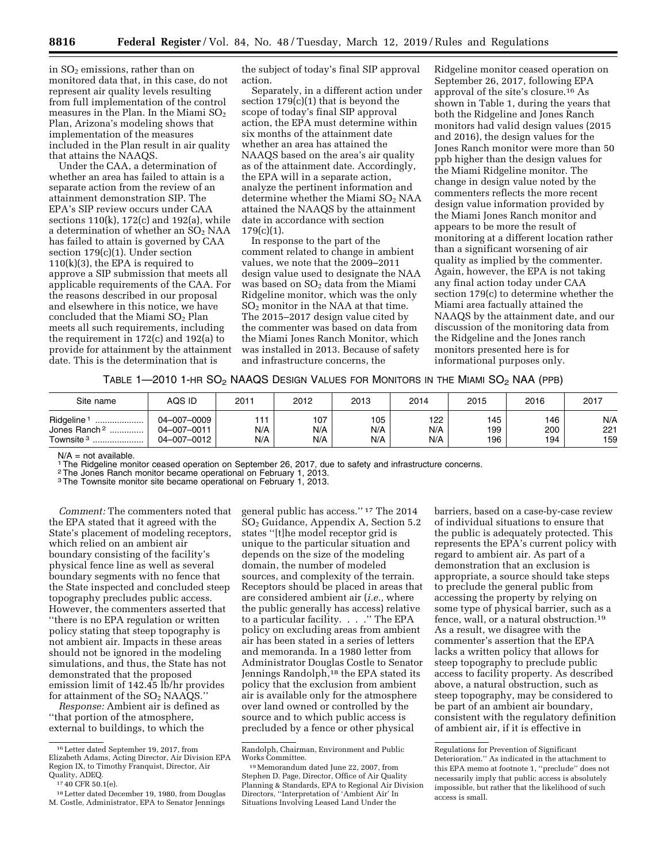in SO2 emissions, rather than on monitored data that, in this case, do not represent air quality levels resulting from full implementation of the control measures in the Plan. In the Miami  $SO<sub>2</sub>$ Plan, Arizona's modeling shows that implementation of the measures included in the Plan result in air quality that attains the NAAQS.

Under the CAA, a determination of whether an area has failed to attain is a separate action from the review of an attainment demonstration SIP. The EPA's SIP review occurs under CAA sections 110(k), 172(c) and 192(a), while a determination of whether an  $SO<sub>2</sub> NAA$ has failed to attain is governed by CAA section 179(c)(1). Under section 110(k)(3), the EPA is required to approve a SIP submission that meets all applicable requirements of the CAA. For the reasons described in our proposal and elsewhere in this notice, we have concluded that the Miami SO<sub>2</sub> Plan meets all such requirements, including the requirement in 172(c) and 192(a) to provide for attainment by the attainment date. This is the determination that is

the subject of today's final SIP approval action.

Separately, in a different action under section  $179(c)(1)$  that is beyond the scope of today's final SIP approval action, the EPA must determine within six months of the attainment date whether an area has attained the NAAQS based on the area's air quality as of the attainment date. Accordingly, the EPA will in a separate action, analyze the pertinent information and determine whether the Miami SO<sub>2</sub> NAA attained the NAAQS by the attainment date in accordance with section 179(c)(1).

In response to the part of the comment related to change in ambient values, we note that the 2009–2011 design value used to designate the NAA was based on  $SO<sub>2</sub>$  data from the Miami Ridgeline monitor, which was the only  $SO<sub>2</sub>$  monitor in the NAA at that time. The 2015–2017 design value cited by the commenter was based on data from the Miami Jones Ranch Monitor, which was installed in 2013. Because of safety and infrastructure concerns, the

Ridgeline monitor ceased operation on September 26, 2017, following EPA approval of the site's closure.16 As shown in Table 1, during the years that both the Ridgeline and Jones Ranch monitors had valid design values (2015 and 2016), the design values for the Jones Ranch monitor were more than 50 ppb higher than the design values for the Miami Ridgeline monitor. The change in design value noted by the commenters reflects the more recent design value information provided by the Miami Jones Ranch monitor and appears to be more the result of monitoring at a different location rather than a significant worsening of air quality as implied by the commenter. Again, however, the EPA is not taking any final action today under CAA section 179(c) to determine whether the Miami area factually attained the NAAQS by the attainment date, and our discussion of the monitoring data from the Ridgeline and the Jones ranch monitors presented here is for informational purposes only.

TABLE 1—2010 1-HR SO2 NAAQS DESIGN VALUES FOR MONITORS IN THE MIAMI SO2 NAA (PPB)

| Site name                                                                   | AQS ID                                    | 2011              | 2012              | 2013              | 2014              | 2015              | 2016              | 2017              |
|-----------------------------------------------------------------------------|-------------------------------------------|-------------------|-------------------|-------------------|-------------------|-------------------|-------------------|-------------------|
| Ridgeline<br><br>Jones Ranch <sup>2</sup><br>.<br>Townsite <sup>3</sup><br> | 04-007-0009<br>04-007-0011<br>04-007-0012 | 144<br>N/A<br>N/A | 107<br>N/A<br>N/A | 105<br>N/A<br>N/A | 122<br>N/A<br>N/A | 145<br>199<br>196 | 146<br>200<br>194 | N/A<br>221<br>159 |

 $N/A$  = not available.

<sup>1</sup>The Ridgeline monitor ceased operation on September 26, 2017, due to safety and infrastructure concerns.

<sup>2</sup> The Jones Ranch monitor became operational on February 1, 2013.

3The Townsite monitor site became operational on February 1, 2013.

*Comment:* The commenters noted that the EPA stated that it agreed with the State's placement of modeling receptors, which relied on an ambient air boundary consisting of the facility's physical fence line as well as several boundary segments with no fence that the State inspected and concluded steep topography precludes public access. However, the commenters asserted that ''there is no EPA regulation or written policy stating that steep topography is not ambient air. Impacts in these areas should not be ignored in the modeling simulations, and thus, the State has not demonstrated that the proposed emission limit of 142.45 lb/hr provides for attainment of the SO<sub>2</sub> NAAQS."

*Response:* Ambient air is defined as ''that portion of the atmosphere, external to buildings, to which the

general public has access.'' 17 The 2014 SO2 Guidance, Appendix A, Section 5.2 states ''[t]he model receptor grid is unique to the particular situation and depends on the size of the modeling domain, the number of modeled sources, and complexity of the terrain. Receptors should be placed in areas that are considered ambient air (*i.e.,* where the public generally has access) relative to a particular facility.  $\dots$  .'' The EPA policy on excluding areas from ambient air has been stated in a series of letters and memoranda. In a 1980 letter from Administrator Douglas Costle to Senator Jennings Randolph,<sup>18</sup> the EPA stated its policy that the exclusion from ambient air is available only for the atmosphere over land owned or controlled by the source and to which public access is precluded by a fence or other physical

barriers, based on a case-by-case review of individual situations to ensure that the public is adequately protected. This represents the EPA's current policy with regard to ambient air. As part of a demonstration that an exclusion is appropriate, a source should take steps to preclude the general public from accessing the property by relying on some type of physical barrier, such as a fence, wall, or a natural obstruction.19 As a result, we disagree with the commenter's assertion that the EPA lacks a written policy that allows for steep topography to preclude public access to facility property. As described above, a natural obstruction, such as steep topography, may be considered to be part of an ambient air boundary, consistent with the regulatory definition of ambient air, if it is effective in

<sup>16</sup>Letter dated September 19, 2017, from Elizabeth Adams, Acting Director, Air Division EPA Region IX, to Timothy Franquist, Director, Air

 $1740$  CFR 50.1(e).<br> $18$  Letter dated December 19, 1980, from Douglas M. Costle, Administrator, EPA to Senator Jennings

Randolph, Chairman, Environment and Public Works Committee.

<sup>19</sup>Memorandum dated June 22, 2007, from Stephen D. Page, Director, Office of Air Quality Planning & Standards, EPA to Regional Air Division Directors, ''Interpretation of 'Ambient Air' In Situations Involving Leased Land Under the

Regulations for Prevention of Significant Deterioration.'' As indicated in the attachment to this EPA memo at footnote 1, ''preclude'' does not necessarily imply that public access is absolutely impossible, but rather that the likelihood of such access is small.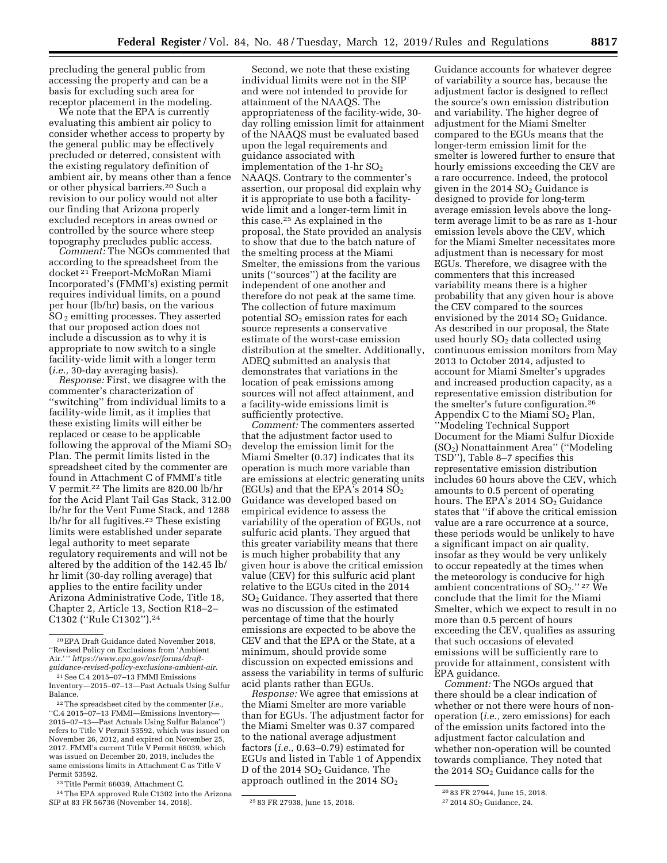precluding the general public from accessing the property and can be a basis for excluding such area for receptor placement in the modeling.

We note that the EPA is currently evaluating this ambient air policy to consider whether access to property by the general public may be effectively precluded or deterred, consistent with the existing regulatory definition of ambient air, by means other than a fence or other physical barriers.20 Such a revision to our policy would not alter our finding that Arizona properly excluded receptors in areas owned or controlled by the source where steep topography precludes public access.

*Comment:* The NGOs commented that according to the spreadsheet from the docket 21 Freeport-McMoRan Miami Incorporated's (FMMI's) existing permit requires individual limits, on a pound per hour (lb/hr) basis, on the various SO 2 emitting processes. They asserted that our proposed action does not include a discussion as to why it is appropriate to now switch to a single facility-wide limit with a longer term (*i.e.,* 30-day averaging basis).

*Response:* First, we disagree with the commenter's characterization of ''switching'' from individual limits to a facility-wide limit, as it implies that these existing limits will either be replaced or cease to be applicable following the approval of the Miami  $SO<sub>2</sub>$ Plan. The permit limits listed in the spreadsheet cited by the commenter are found in Attachment C of FMMI's title V permit.22 The limits are 820.00 lb/hr for the Acid Plant Tail Gas Stack, 312.00 lb/hr for the Vent Fume Stack, and 1288 lb/hr for all fugitives.23 These existing limits were established under separate legal authority to meet separate regulatory requirements and will not be altered by the addition of the 142.45 lb/ hr limit (30-day rolling average) that applies to the entire facility under Arizona Administrative Code, Title 18, Chapter 2, Article 13, Section R18–2– C1302 (''Rule C1302'').24

23Title Permit 66039, Attachment C.

24The EPA approved Rule C1302 into the Arizona SIP at 83 FR 56736 (November 14, 2018). 25 83 FR 27938, June 15, 2018.

Second, we note that these existing individual limits were not in the SIP and were not intended to provide for attainment of the NAAQS. The appropriateness of the facility-wide, 30 day rolling emission limit for attainment of the NAAQS must be evaluated based upon the legal requirements and guidance associated with implementation of the 1-hr  $SO<sub>2</sub>$ NAAQS. Contrary to the commenter's assertion, our proposal did explain why it is appropriate to use both a facilitywide limit and a longer-term limit in this case.25 As explained in the proposal, the State provided an analysis to show that due to the batch nature of the smelting process at the Miami Smelter, the emissions from the various units (''sources'') at the facility are independent of one another and therefore do not peak at the same time. The collection of future maximum potential  $SO<sub>2</sub>$  emission rates for each source represents a conservative estimate of the worst-case emission distribution at the smelter. Additionally, ADEQ submitted an analysis that demonstrates that variations in the location of peak emissions among sources will not affect attainment, and a facility-wide emissions limit is sufficiently protective.

*Comment:* The commenters asserted that the adjustment factor used to develop the emission limit for the Miami Smelter (0.37) indicates that its operation is much more variable than are emissions at electric generating units (EGUs) and that the EPA's 2014  $SO<sub>2</sub>$ Guidance was developed based on empirical evidence to assess the variability of the operation of EGUs, not sulfuric acid plants. They argued that this greater variability means that there is much higher probability that any given hour is above the critical emission value (CEV) for this sulfuric acid plant relative to the EGUs cited in the 2014 SO2 Guidance. They asserted that there was no discussion of the estimated percentage of time that the hourly emissions are expected to be above the CEV and that the EPA or the State, at a minimum, should provide some discussion on expected emissions and assess the variability in terms of sulfuric acid plants rather than EGUs.

*Response:* We agree that emissions at the Miami Smelter are more variable than for EGUs. The adjustment factor for the Miami Smelter was 0.37 compared to the national average adjustment factors (*i.e.,* 0.63–0.79) estimated for EGUs and listed in Table 1 of Appendix D of the 2014  $SO<sub>2</sub>$  Guidance. The approach outlined in the 2014  $SO<sub>2</sub>$ 

Guidance accounts for whatever degree of variability a source has, because the adjustment factor is designed to reflect the source's own emission distribution and variability. The higher degree of adjustment for the Miami Smelter compared to the EGUs means that the longer-term emission limit for the smelter is lowered further to ensure that hourly emissions exceeding the CEV are a rare occurrence. Indeed, the protocol given in the 2014  $SO<sub>2</sub>$  Guidance is designed to provide for long-term average emission levels above the longterm average limit to be as rare as 1-hour emission levels above the CEV, which for the Miami Smelter necessitates more adjustment than is necessary for most EGUs. Therefore, we disagree with the commenters that this increased variability means there is a higher probability that any given hour is above the CEV compared to the sources envisioned by the  $2014$   $SO<sub>2</sub>$  Guidance. As described in our proposal, the State used hourly SO<sub>2</sub> data collected using continuous emission monitors from May 2013 to October 2014, adjusted to account for Miami Smelter's upgrades and increased production capacity, as a representative emission distribution for the smelter's future configuration.26 Appendix C to the Miami SO2 Plan, ''Modeling Technical Support Document for the Miami Sulfur Dioxide (SO2) Nonattainment Area'' (''Modeling TSD''), Table 8–7 specifies this representative emission distribution includes 60 hours above the CEV, which amounts to 0.5 percent of operating hours. The EPA's  $2014$  SO<sub>2</sub> Guidance states that ''if above the critical emission value are a rare occurrence at a source, these periods would be unlikely to have a significant impact on air quality, insofar as they would be very unlikely to occur repeatedly at the times when the meteorology is conducive for high ambient concentrations of  $SO_2$ ." <sup>27</sup> We conclude that the limit for the Miami Smelter, which we expect to result in no more than 0.5 percent of hours exceeding the CEV, qualifies as assuring that such occasions of elevated emissions will be sufficiently rare to provide for attainment, consistent with EPA guidance.

*Comment:* The NGOs argued that there should be a clear indication of whether or not there were hours of nonoperation (*i.e.,* zero emissions) for each of the emission units factored into the adjustment factor calculation and whether non-operation will be counted towards compliance. They noted that the 2014 SO<sub>2</sub> Guidance calls for the

<sup>20</sup>EPA Draft Guidance dated November 2018, ''Revised Policy on Exclusions from 'Ambient Air.' '' *[https://www.epa.gov/nsr/forms/draft](https://www.epa.gov/nsr/forms/draft-guidance-revised-policy-exclusions-ambient-air)[guidance-revised-policy-exclusions-ambient-air.](https://www.epa.gov/nsr/forms/draft-guidance-revised-policy-exclusions-ambient-air)* 

<sup>21</sup>See C.4 2015–07–13 FMMI Emissions Inventory—2015–07–13—Past Actuals Using Sulfur Balance.

<sup>22</sup>The spreadsheet cited by the commenter (*i.e.,*  ''C.4 2015–07–13 FMMI—Emissions Inventory— 2015–07–13—Past Actuals Using Sulfur Balance'') refers to Title V Permit 53592, which was issued on November 26, 2012, and expired on November 25, 2017. FMMI's current Title V Permit 66039, which was issued on December 20, 2019, includes the same emissions limits in Attachment C as Title V Permit 53592.

<sup>26</sup> 83 FR 27944, June 15, 2018.

<sup>&</sup>lt;sup>27</sup> 2014 SO<sub>2</sub> Guidance, 24.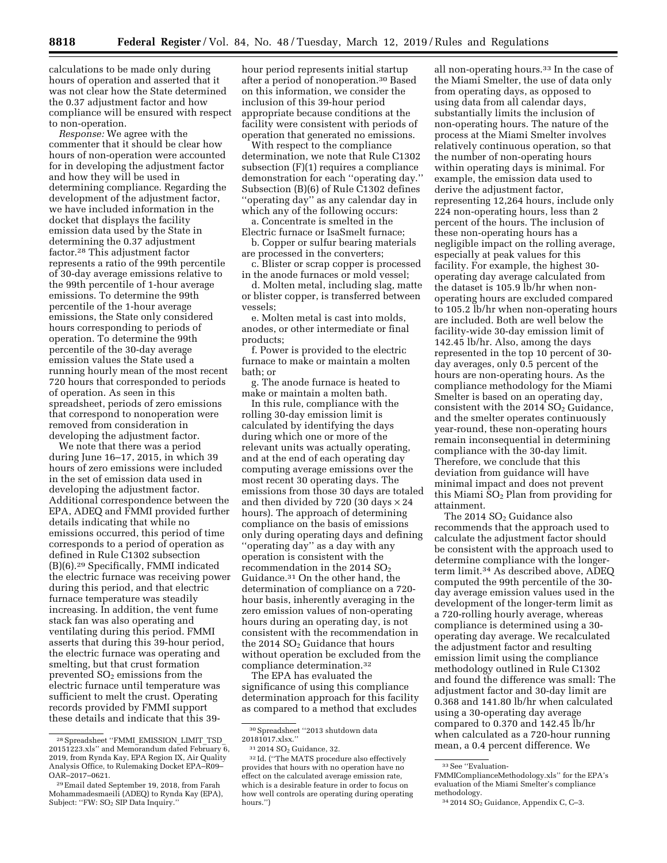calculations to be made only during hours of operation and asserted that it was not clear how the State determined the 0.37 adjustment factor and how compliance will be ensured with respect to non-operation.

*Response:* We agree with the commenter that it should be clear how hours of non-operation were accounted for in developing the adjustment factor and how they will be used in determining compliance. Regarding the development of the adjustment factor, we have included information in the docket that displays the facility emission data used by the State in determining the 0.37 adjustment factor.28 This adjustment factor represents a ratio of the 99th percentile of 30-day average emissions relative to the 99th percentile of 1-hour average emissions. To determine the 99th percentile of the 1-hour average emissions, the State only considered hours corresponding to periods of operation. To determine the 99th percentile of the 30-day average emission values the State used a running hourly mean of the most recent 720 hours that corresponded to periods of operation. As seen in this spreadsheet, periods of zero emissions that correspond to nonoperation were removed from consideration in developing the adjustment factor.

We note that there was a period during June 16–17, 2015, in which 39 hours of zero emissions were included in the set of emission data used in developing the adjustment factor. Additional correspondence between the EPA, ADEQ and FMMI provided further details indicating that while no emissions occurred, this period of time corresponds to a period of operation as defined in Rule C1302 subsection (B)(6).29 Specifically, FMMI indicated the electric furnace was receiving power during this period, and that electric furnace temperature was steadily increasing. In addition, the vent fume stack fan was also operating and ventilating during this period. FMMI asserts that during this 39-hour period, the electric furnace was operating and smelting, but that crust formation prevented  $SO<sub>2</sub>$  emissions from the electric furnace until temperature was sufficient to melt the crust. Operating records provided by FMMI support these details and indicate that this 39-

hour period represents initial startup after a period of nonoperation.30 Based on this information, we consider the inclusion of this 39-hour period appropriate because conditions at the facility were consistent with periods of operation that generated no emissions.

With respect to the compliance determination, we note that Rule C1302 subsection (F)(1) requires a compliance demonstration for each ''operating day.'' Subsection (B)(6) of Rule C1302 defines ''operating day'' as any calendar day in which any of the following occurs:

a. Concentrate is smelted in the Electric furnace or IsaSmelt furnace;

b. Copper or sulfur bearing materials are processed in the converters;

c. Blister or scrap copper is processed in the anode furnaces or mold vessel;

d. Molten metal, including slag, matte or blister copper, is transferred between vessels;

e. Molten metal is cast into molds, anodes, or other intermediate or final products;

f. Power is provided to the electric furnace to make or maintain a molten bath; or

g. The anode furnace is heated to make or maintain a molten bath.

In this rule, compliance with the rolling 30-day emission limit is calculated by identifying the days during which one or more of the relevant units was actually operating, and at the end of each operating day computing average emissions over the most recent 30 operating days. The emissions from those 30 days are totaled and then divided by 720 (30 days  $\times$  24 hours). The approach of determining compliance on the basis of emissions only during operating days and defining ''operating day'' as a day with any operation is consistent with the recommendation in the 2014  $SO<sub>2</sub>$ Guidance.31 On the other hand, the determination of compliance on a 720 hour basis, inherently averaging in the zero emission values of non-operating hours during an operating day, is not consistent with the recommendation in the 2014  $SO<sub>2</sub>$  Guidance that hours without operation be excluded from the compliance determination.32

The EPA has evaluated the significance of using this compliance determination approach for this facility as compared to a method that excludes

all non-operating hours.33 In the case of the Miami Smelter, the use of data only from operating days, as opposed to using data from all calendar days, substantially limits the inclusion of non-operating hours. The nature of the process at the Miami Smelter involves relatively continuous operation, so that the number of non-operating hours within operating days is minimal. For example, the emission data used to derive the adjustment factor, representing 12,264 hours, include only 224 non-operating hours, less than 2 percent of the hours. The inclusion of these non-operating hours has a negligible impact on the rolling average, especially at peak values for this facility. For example, the highest 30 operating day average calculated from the dataset is 105.9 lb/hr when nonoperating hours are excluded compared to 105.2 lb/hr when non-operating hours are included. Both are well below the facility-wide 30-day emission limit of 142.45 lb/hr. Also, among the days represented in the top 10 percent of 30 day averages, only 0.5 percent of the hours are non-operating hours. As the compliance methodology for the Miami Smelter is based on an operating day, consistent with the 2014  $SO<sub>2</sub>$  Guidance, and the smelter operates continuously year-round, these non-operating hours remain inconsequential in determining compliance with the 30-day limit. Therefore, we conclude that this deviation from guidance will have minimal impact and does not prevent this Miami  $SO<sub>2</sub>$  Plan from providing for attainment.

The 2014 SO<sub>2</sub> Guidance also recommends that the approach used to calculate the adjustment factor should be consistent with the approach used to determine compliance with the longerterm limit.34 As described above, ADEQ computed the 99th percentile of the 30 day average emission values used in the development of the longer-term limit as a 720-rolling hourly average, whereas compliance is determined using a 30 operating day average. We recalculated the adjustment factor and resulting emission limit using the compliance methodology outlined in Rule C1302 and found the difference was small: The adjustment factor and 30-day limit are 0.368 and 141.80 lb/hr when calculated using a 30-operating day average compared to 0.370 and 142.45 lb/hr when calculated as a 720-hour running mean, a 0.4 percent difference. We

<sup>28</sup>Spreadsheet ''FMMI\_EMISSION\_LIMIT\_TSD\_ 20151223.xls'' and Memorandum dated February 6, 2019, from Rynda Kay, EPA Region IX, Air Quality Analysis Office, to Rulemaking Docket EPA–R09– OAR–2017–0621.

<sup>29</sup>Email dated September 19, 2018, from Farah Mohammadesmaeili (ADEQ) to Rynda Kay (EPA), Subject: "FW: SO<sub>2</sub> SIP Data Inquiry."

<sup>30</sup>Spreadsheet ''2013 shutdown data 20181017.xlsx.''

<sup>31</sup> 2014 SO<sup>2</sup> Guidance, 32.

<sup>32</sup> Id. (''The MATS procedure also effectively provides that hours with no operation have no effect on the calculated average emission rate, which is a desirable feature in order to focus on how well controls are operating during operating hours.'')

<sup>33</sup>See ''Evaluation-

FMMIComplianceMethodology.xls'' for the EPA's evaluation of the Miami Smelter's compliance methodology.

<sup>34</sup> 2014 SO<sup>2</sup> Guidance, Appendix C, C–3.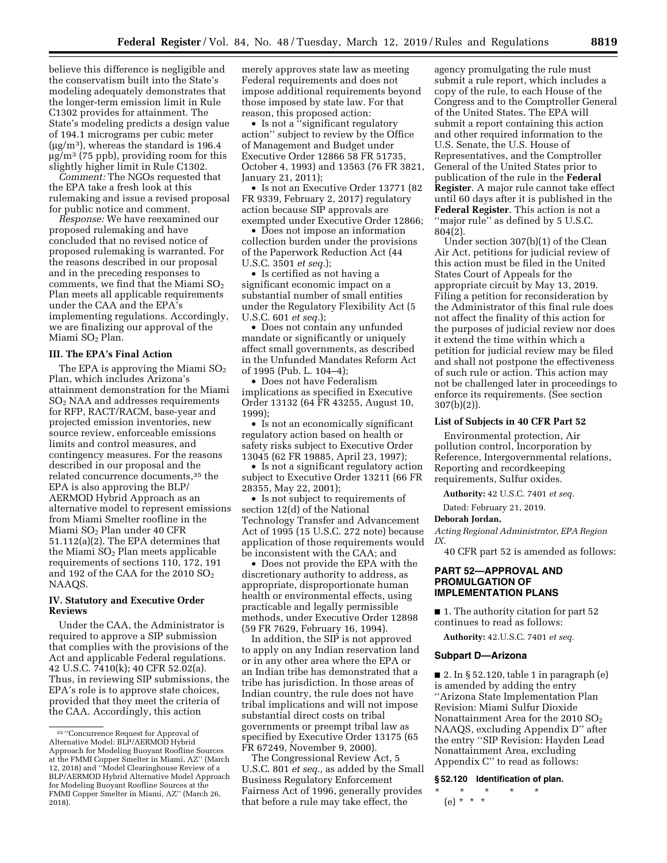believe this difference is negligible and the conservatism built into the State's modeling adequately demonstrates that the longer-term emission limit in Rule C1302 provides for attainment. The State's modeling predicts a design value of 194.1 micrograms per cubic meter  $\mu$ g/m<sup>3</sup>, whereas the standard is 196.4  $\mu$ g/m<sup>3</sup> (75 ppb), providing room for this slightly higher limit in Rule C1302.

*Comment:* The NGOs requested that the EPA take a fresh look at this rulemaking and issue a revised proposal for public notice and comment.

*Response:* We have reexamined our proposed rulemaking and have concluded that no revised notice of proposed rulemaking is warranted. For the reasons described in our proposal and in the preceding responses to comments, we find that the Miami  $SO_2$ Plan meets all applicable requirements under the CAA and the EPA's implementing regulations. Accordingly, we are finalizing our approval of the Miami SO2 Plan.

### **III. The EPA's Final Action**

The EPA is approving the Miami  $SO<sub>2</sub>$ Plan, which includes Arizona's attainment demonstration for the Miami SO2 NAA and addresses requirements for RFP, RACT/RACM, base-year and projected emission inventories, new source review, enforceable emissions limits and control measures, and contingency measures. For the reasons described in our proposal and the related concurrence documents,35 the EPA is also approving the BLP/ AERMOD Hybrid Approach as an alternative model to represent emissions from Miami Smelter roofline in the Miami SO2 Plan under 40 CFR 51.112(a)(2). The EPA determines that the Miami  $SO<sub>2</sub>$  Plan meets applicable requirements of sections 110, 172, 191 and 192 of the CAA for the 2010  $SO<sub>2</sub>$ NAAQS.

# **IV. Statutory and Executive Order Reviews**

Under the CAA, the Administrator is required to approve a SIP submission that complies with the provisions of the Act and applicable Federal regulations. 42 U.S.C. 7410(k); 40 CFR 52.02(a). Thus, in reviewing SIP submissions, the EPA's role is to approve state choices, provided that they meet the criteria of the CAA. Accordingly, this action

merely approves state law as meeting Federal requirements and does not impose additional requirements beyond those imposed by state law. For that reason, this proposed action:

• Is not a "significant regulatory" action'' subject to review by the Office of Management and Budget under Executive Order 12866 58 FR 51735, October 4, 1993) and 13563 (76 FR 3821, January 21, 2011);

• Is not an Executive Order 13771 (82) FR 9339, February 2, 2017) regulatory action because SIP approvals are exempted under Executive Order 12866;

• Does not impose an information collection burden under the provisions of the Paperwork Reduction Act (44 U.S.C. 3501 *et seq.*);

• Is certified as not having a significant economic impact on a substantial number of small entities under the Regulatory Flexibility Act (5 U.S.C. 601 *et seq.*);

• Does not contain any unfunded mandate or significantly or uniquely affect small governments, as described in the Unfunded Mandates Reform Act of 1995 (Pub. L. 104–4);

• Does not have Federalism implications as specified in Executive Order 13132 (64 FR 43255, August 10, 1999);

• Is not an economically significant regulatory action based on health or safety risks subject to Executive Order 13045 (62 FR 19885, April 23, 1997);

• Is not a significant regulatory action subject to Executive Order 13211 (66 FR 28355, May 22, 2001);

• Is not subject to requirements of section 12(d) of the National Technology Transfer and Advancement Act of 1995 (15 U.S.C. 272 note) because application of those requirements would be inconsistent with the CAA; and

• Does not provide the EPA with the discretionary authority to address, as appropriate, disproportionate human health or environmental effects, using practicable and legally permissible methods, under Executive Order 12898 (59 FR 7629, February 16, 1994).

In addition, the SIP is not approved to apply on any Indian reservation land or in any other area where the EPA or an Indian tribe has demonstrated that a tribe has jurisdiction. In those areas of Indian country, the rule does not have tribal implications and will not impose substantial direct costs on tribal governments or preempt tribal law as specified by Executive Order 13175 (65 FR 67249, November 9, 2000).

The Congressional Review Act, 5 U.S.C. 801 *et seq.,* as added by the Small Business Regulatory Enforcement Fairness Act of 1996, generally provides that before a rule may take effect, the

agency promulgating the rule must submit a rule report, which includes a copy of the rule, to each House of the Congress and to the Comptroller General of the United States. The EPA will submit a report containing this action and other required information to the U.S. Senate, the U.S. House of Representatives, and the Comptroller General of the United States prior to publication of the rule in the **Federal Register**. A major rule cannot take effect until 60 days after it is published in the **Federal Register**. This action is not a ''major rule'' as defined by 5 U.S.C. 804(2).

Under section 307(b)(1) of the Clean Air Act, petitions for judicial review of this action must be filed in the United States Court of Appeals for the appropriate circuit by May 13, 2019. Filing a petition for reconsideration by the Administrator of this final rule does not affect the finality of this action for the purposes of judicial review nor does it extend the time within which a petition for judicial review may be filed and shall not postpone the effectiveness of such rule or action. This action may not be challenged later in proceedings to enforce its requirements. (See section 307(b)(2)).

### **List of Subjects in 40 CFR Part 52**

Environmental protection, Air pollution control, Incorporation by Reference, Intergovernmental relations, Reporting and recordkeeping requirements, Sulfur oxides.

**Authority:** 42 U.S.C. 7401 *et seq.* 

Dated: February 21, 2019.

#### **Deborah Jordan,**

*Acting Regional Administrator, EPA Region IX.* 

40 CFR part 52 is amended as follows:

## **PART 52—APPROVAL AND PROMULGATION OF IMPLEMENTATION PLANS**

■ 1. The authority citation for part 52 continues to read as follows:

**Authority:** 42.U.S.C. 7401 *et seq.* 

### **Subpart D—Arizona**

■ 2. In § 52.120, table 1 in paragraph (e) is amended by adding the entry ''Arizona State Implementation Plan Revision: Miami Sulfur Dioxide Nonattainment Area for the 2010  $SO<sub>2</sub>$ NAAQS, excluding Appendix D'' after the entry ''SIP Revision: Hayden Lead Nonattainment Area, excluding Appendix C'' to read as follows:

### **§ 52.120 Identification of plan.**

\* \* \* \* \* (e) \* \* \*

<sup>35</sup> ''Concurrence Request for Approval of Alternative Model: BLP/AERMOD Hybrid Approach for Modeling Buoyant Roofline Sources at the FMMI Copper Smelter in Miami, AZ'' (March 12, 2018) and ''Model Clearinghouse Review of a BLP/AERMOD Hybrid Alternative Model Approach for Modeling Buoyant Roofline Sources at the FMMI Copper Smelter in Miami, AZ'' (March 26, 2018).